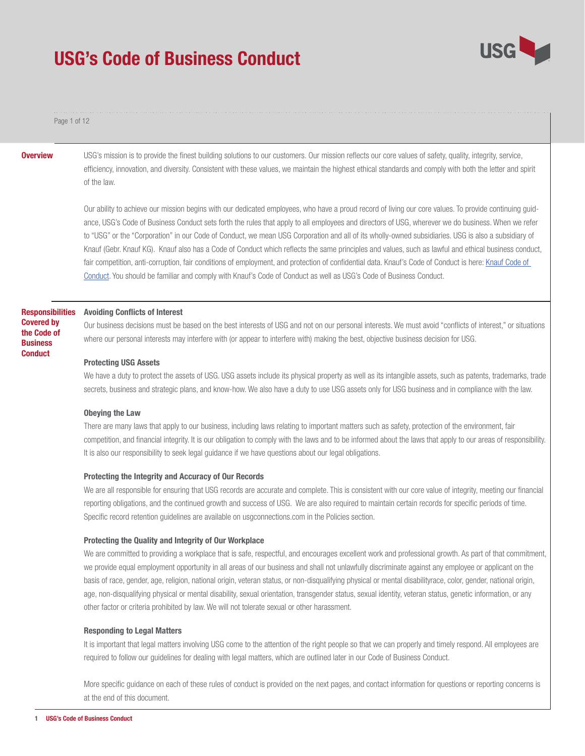

#### Page 1 of 12

**Overview** USG's mission is to provide the finest building solutions to our customers. Our mission reflects our core values of safety, quality, integrity, service, efficiency, innovation, and diversity. Consistent with these values, we maintain the highest ethical standards and comply with both the letter and spirit of the law.

> Our ability to achieve our mission begins with our dedicated employees, who have a proud record of living our core values. To provide continuing guidance, USG's Code of Business Conduct sets forth the rules that apply to all employees and directors of USG, wherever we do business. When we refer to "USG" or the "Corporation" in our Code of Conduct, we mean USG Corporation and all of its wholly-owned subsidiaries. USG is also a subsidiary of Knauf (Gebr. Knauf KG). Knauf also has a Code of Conduct which reflects the same principles and values, such as lawful and ethical business conduct, fair competition, anti-corruption, fair conditions of employment, and protection of confidential data. Knauf's Code of Conduct is here: Knauf Code of Conduct. You should be familiar and comply with Knauf's Code of Conduct as well as USG's Code of Business Conduct.

#### Responsibilities Covered by the Code of **Business Conduct**

#### Avoiding Conflicts of Interest

Our business decisions must be based on the best interests of USG and not on our personal interests. We must avoid "conflicts of interest," or situations where our personal interests may interfere with (or appear to interfere with) making the best, objective business decision for USG.

#### Protecting USG Assets

We have a duty to protect the assets of USG. USG assets include its physical property as well as its intangible assets, such as patents, trademarks, trade secrets, business and strategic plans, and know-how. We also have a duty to use USG assets only for USG business and in compliance with the law.

#### Obeying the Law

There are many laws that apply to our business, including laws relating to important matters such as safety, protection of the environment, fair competition, and financial integrity. It is our obligation to comply with the laws and to be informed about the laws that apply to our areas of responsibility. It is also our responsibility to seek legal guidance if we have questions about our legal obligations.

#### Protecting the Integrity and Accuracy of Our Records

We are all responsible for ensuring that USG records are accurate and complete. This is consistent with our core value of integrity, meeting our financial reporting obligations, and the continued growth and success of USG. We are also required to maintain certain records for specific periods of time. Specific record retention guidelines are available on usgconnections.com in the Policies section.

#### Protecting the Quality and Integrity of Our Workplace

We are committed to providing a workplace that is safe, respectful, and encourages excellent work and professional growth. As part of that commitment, we provide equal employment opportunity in all areas of our business and shall not unlawfully discriminate against any employee or applicant on the basis of race, gender, age, religion, national origin, veteran status, or non-disqualifying physical or mental disabilityrace, color, gender, national origin, age, non-disqualifying physical or mental disability, sexual orientation, transgender status, sexual identity, veteran status, genetic information, or any other factor or criteria prohibited by law. We will not tolerate sexual or other harassment.

#### Responding to Legal Matters

It is important that legal matters involving USG come to the attention of the right people so that we can properly and timely respond. All employees are required to follow our guidelines for dealing with legal matters, which are outlined later in our Code of Business Conduct.

More specific guidance on each of these rules of conduct is provided on the next pages, and contact information for questions or reporting concerns is at the end of this document.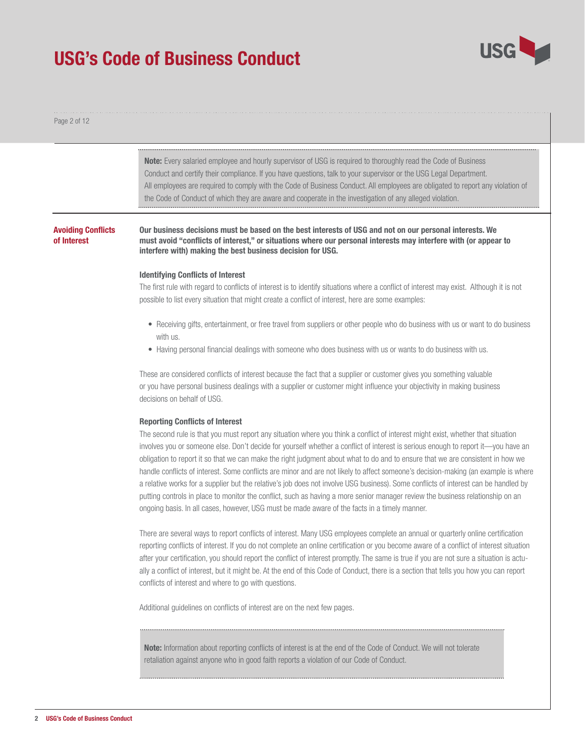

#### Page 2 of 12

Note: Every salaried employee and hourly supervisor of USG is required to thoroughly read the Code of Business Conduct and certify their compliance. If you have questions, talk to your supervisor or the USG Legal Department. All employees are required to comply with the Code of Business Conduct. All employees are obligated to report any violation of the Code of Conduct of which they are aware and cooperate in the investigation of any alleged violation.

#### Avoiding Conflicts of Interest

Our business decisions must be based on the best interests of USG and not on our personal interests. We must avoid "conflicts of interest," or situations where our personal interests may interfere with (or appear to interfere with) making the best business decision for USG.

#### Identifying Conflicts of Interest

The first rule with regard to conflicts of interest is to identify situations where a conflict of interest may exist. Although it is not possible to list every situation that might create a conflict of interest, here are some examples:

- Receiving gifts, entertainment, or free travel from suppliers or other people who do business with us or want to do business with us.
- Having personal financial dealings with someone who does business with us or wants to do business with us.

These are considered conflicts of interest because the fact that a supplier or customer gives you something valuable or you have personal business dealings with a supplier or customer might influence your objectivity in making business decisions on behalf of USG.

#### Reporting Conflicts of Interest

The second rule is that you must report any situation where you think a conflict of interest might exist, whether that situation involves you or someone else. Don't decide for yourself whether a conflict of interest is serious enough to report it—you have an obligation to report it so that we can make the right judgment about what to do and to ensure that we are consistent in how we handle conflicts of interest. Some conflicts are minor and are not likely to affect someone's decision-making (an example is where a relative works for a supplier but the relative's job does not involve USG business). Some conflicts of interest can be handled by putting controls in place to monitor the conflict, such as having a more senior manager review the business relationship on an ongoing basis. In all cases, however, USG must be made aware of the facts in a timely manner.

There are several ways to report conflicts of interest. Many USG employees complete an annual or quarterly online certification reporting conflicts of interest. If you do not complete an online certification or you become aware of a conflict of interest situation after your certification, you should report the conflict of interest promptly. The same is true if you are not sure a situation is actually a conflict of interest, but it might be. At the end of this Code of Conduct, there is a section that tells you how you can report conflicts of interest and where to go with questions.

Additional guidelines on conflicts of interest are on the next few pages.

Note: Information about reporting conflicts of interest is at the end of the Code of Conduct. We will not tolerate retaliation against anyone who in good faith reports a violation of our Code of Conduct.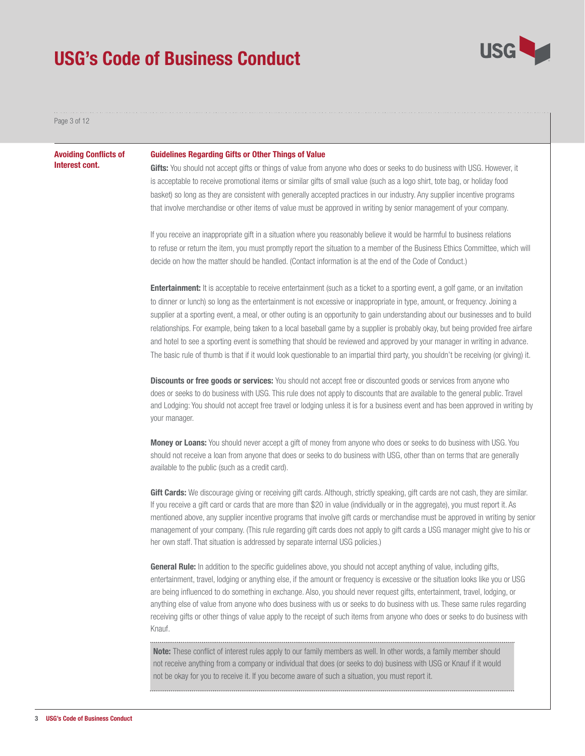

Page 3 of 12

#### Avoiding Conflicts of Interest cont.

#### Guidelines Regarding Gifts or Other Things of Value

Gifts: You should not accept gifts or things of value from anyone who does or seeks to do business with USG. However, it is acceptable to receive promotional items or similar gifts of small value (such as a logo shirt, tote bag, or holiday food basket) so long as they are consistent with generally accepted practices in our industry. Any supplier incentive programs that involve merchandise or other items of value must be approved in writing by senior management of your company.

If you receive an inappropriate gift in a situation where you reasonably believe it would be harmful to business relations to refuse or return the item, you must promptly report the situation to a member of the Business Ethics Committee, which will decide on how the matter should be handled. (Contact information is at the end of the Code of Conduct.)

**Entertainment:** It is acceptable to receive entertainment (such as a ticket to a sporting event, a golf game, or an invitation to dinner or lunch) so long as the entertainment is not excessive or inappropriate in type, amount, or frequency. Joining a supplier at a sporting event, a meal, or other outing is an opportunity to gain understanding about our businesses and to build relationships. For example, being taken to a local baseball game by a supplier is probably okay, but being provided free airfare and hotel to see a sporting event is something that should be reviewed and approved by your manager in writing in advance. The basic rule of thumb is that if it would look questionable to an impartial third party, you shouldn't be receiving (or giving) it.

**Discounts or free goods or services:** You should not accept free or discounted goods or services from anyone who does or seeks to do business with USG. This rule does not apply to discounts that are available to the general public. Travel and Lodging: You should not accept free travel or lodging unless it is for a business event and has been approved in writing by your manager.

Money or Loans: You should never accept a gift of money from anyone who does or seeks to do business with USG. You should not receive a loan from anyone that does or seeks to do business with USG, other than on terms that are generally available to the public (such as a credit card).

Gift Cards: We discourage giving or receiving gift cards. Although, strictly speaking, gift cards are not cash, they are similar. If you receive a gift card or cards that are more than \$20 in value (individually or in the aggregate), you must report it. As mentioned above, any supplier incentive programs that involve gift cards or merchandise must be approved in writing by senior management of your company. (This rule regarding gift cards does not apply to gift cards a USG manager might give to his or her own staff. That situation is addressed by separate internal USG policies.)

General Rule: In addition to the specific guidelines above, you should not accept anything of value, including gifts, entertainment, travel, lodging or anything else, if the amount or frequency is excessive or the situation looks like you or USG are being influenced to do something in exchange. Also, you should never request gifts, entertainment, travel, lodging, or anything else of value from anyone who does business with us or seeks to do business with us. These same rules regarding receiving gifts or other things of value apply to the receipt of such items from anyone who does or seeks to do business with Knauf.

Note: These conflict of interest rules apply to our family members as well. In other words, a family member should not receive anything from a company or individual that does (or seeks to do) business with USG or Knauf if it would not be okay for you to receive it. If you become aware of such a situation, you must report it.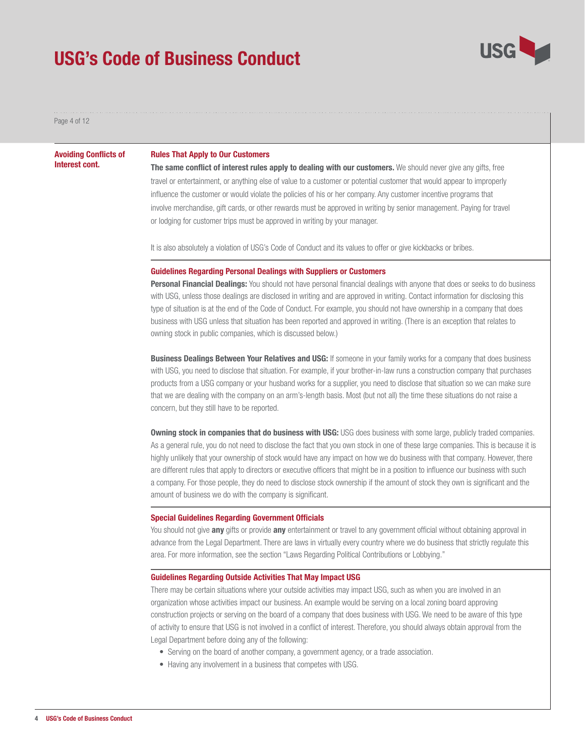

Page 4 of 12

Avoiding Conflicts of Interest cont.

### Rules That Apply to Our Customers

The same conflict of interest rules apply to dealing with our customers. We should never give any gifts, free travel or entertainment, or anything else of value to a customer or potential customer that would appear to improperly influence the customer or would violate the policies of his or her company. Any customer incentive programs that involve merchandise, gift cards, or other rewards must be approved in writing by senior management. Paying for travel or lodging for customer trips must be approved in writing by your manager.

It is also absolutely a violation of USG's Code of Conduct and its values to offer or give kickbacks or bribes.

#### Guidelines Regarding Personal Dealings with Suppliers or Customers

Personal Financial Dealings: You should not have personal financial dealings with anyone that does or seeks to do business with USG, unless those dealings are disclosed in writing and are approved in writing. Contact information for disclosing this type of situation is at the end of the Code of Conduct. For example, you should not have ownership in a company that does business with USG unless that situation has been reported and approved in writing. (There is an exception that relates to owning stock in public companies, which is discussed below.)

**Business Dealings Between Your Relatives and USG:** If someone in your family works for a company that does business with USG, you need to disclose that situation. For example, if your brother-in-law runs a construction company that purchases products from a USG company or your husband works for a supplier, you need to disclose that situation so we can make sure that we are dealing with the company on an arm's-length basis. Most (but not all) the time these situations do not raise a concern, but they still have to be reported.

**Owning stock in companies that do business with USG:** USG does business with some large, publicly traded companies. As a general rule, you do not need to disclose the fact that you own stock in one of these large companies. This is because it is highly unlikely that your ownership of stock would have any impact on how we do business with that company. However, there are different rules that apply to directors or executive officers that might be in a position to influence our business with such a company. For those people, they do need to disclose stock ownership if the amount of stock they own is significant and the amount of business we do with the company is significant.

#### Special Guidelines Regarding Government Officials

You should not give **any** gifts or provide any entertainment or travel to any government official without obtaining approval in advance from the Legal Department. There are laws in virtually every country where we do business that strictly regulate this area. For more information, see the section "Laws Regarding Political Contributions or Lobbying."

#### Guidelines Regarding Outside Activities That May Impact USG

There may be certain situations where your outside activities may impact USG, such as when you are involved in an organization whose activities impact our business. An example would be serving on a local zoning board approving construction projects or serving on the board of a company that does business with USG. We need to be aware of this type of activity to ensure that USG is not involved in a conflict of interest. Therefore, you should always obtain approval from the Legal Department before doing any of the following:

- Serving on the board of another company, a government agency, or a trade association.
- Having any involvement in a business that competes with USG.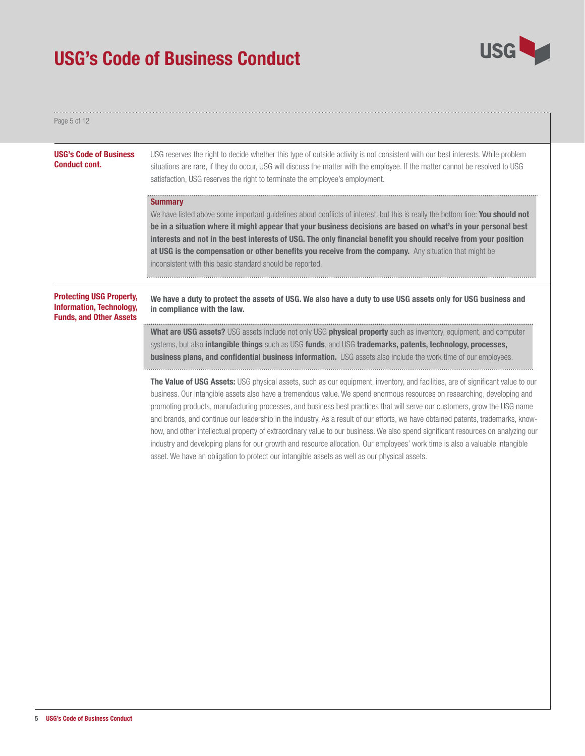

Page 5 of 12

| <b>USG's Code of Business</b><br><b>Conduct cont.</b>                                                | USG reserves the right to decide whether this type of outside activity is not consistent with our best interests. While problem<br>situations are rare, if they do occur, USG will discuss the matter with the employee. If the matter cannot be resolved to USG<br>satisfaction, USG reserves the right to terminate the employee's employment.                                                                                                                                                                                                                                                                                                                                                                                                                                                         |
|------------------------------------------------------------------------------------------------------|----------------------------------------------------------------------------------------------------------------------------------------------------------------------------------------------------------------------------------------------------------------------------------------------------------------------------------------------------------------------------------------------------------------------------------------------------------------------------------------------------------------------------------------------------------------------------------------------------------------------------------------------------------------------------------------------------------------------------------------------------------------------------------------------------------|
|                                                                                                      | <b>Summary</b><br>We have listed above some important guidelines about conflicts of interest, but this is really the bottom line: You should not<br>be in a situation where it might appear that your business decisions are based on what's in your personal best<br>interests and not in the best interests of USG. The only financial benefit you should receive from your position<br>at USG is the compensation or other benefits you receive from the company. Any situation that might be<br>inconsistent with this basic standard should be reported.                                                                                                                                                                                                                                            |
| <b>Protecting USG Property,</b><br><b>Information, Technology,</b><br><b>Funds, and Other Assets</b> | We have a duty to protect the assets of USG. We also have a duty to use USG assets only for USG business and<br>in compliance with the law.                                                                                                                                                                                                                                                                                                                                                                                                                                                                                                                                                                                                                                                              |
|                                                                                                      | <b>What are USG assets?</b> USG assets include not only USG <b>physical property</b> such as inventory, equipment, and computer<br>systems, but also <b>intangible things</b> such as USG <b>funds</b> , and USG <b>trademarks, patents, technology, processes,</b><br><b>business plans, and confidential business information.</b> USG assets also include the work time of our employees.                                                                                                                                                                                                                                                                                                                                                                                                             |
|                                                                                                      | <b>The Value of USG Assets:</b> USG physical assets, such as our equipment, inventory, and facilities, are of significant value to our<br>business. Our intangible assets also have a tremendous value. We spend enormous resources on researching, developing and<br>promoting products, manufacturing processes, and business best practices that will serve our customers, grow the USG name<br>and brands, and continue our leadership in the industry. As a result of our efforts, we have obtained patents, trademarks, know-<br>how, and other intellectual property of extraordinary value to our business. We also spend significant resources on analyzing our<br>industry and developing plans for our growth and resource allocation. Our employees' work time is also a valuable intangible |

asset. We have an obligation to protect our intangible assets as well as our physical assets.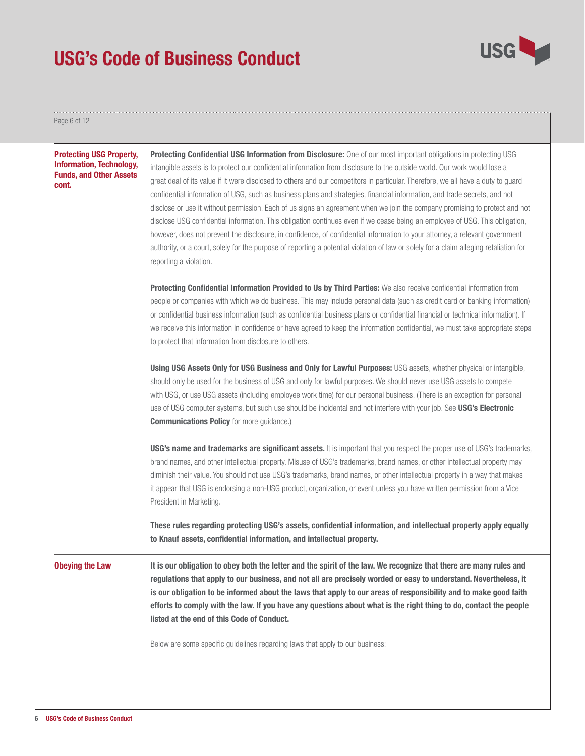

Page 6 of 12

#### Protecting USG Property, Information, Technology, Funds, and Other Assets cont.

Protecting Confidential USG Information from Disclosure: One of our most important obligations in protecting USG intangible assets is to protect our confidential information from disclosure to the outside world. Our work would lose a great deal of its value if it were disclosed to others and our competitors in particular. Therefore, we all have a duty to guard confidential information of USG, such as business plans and strategies, financial information, and trade secrets, and not disclose or use it without permission. Each of us signs an agreement when we join the company promising to protect and not disclose USG confidential information. This obligation continues even if we cease being an employee of USG. This obligation, however, does not prevent the disclosure, in confidence, of confidential information to your attorney, a relevant government authority, or a court, solely for the purpose of reporting a potential violation of law or solely for a claim alleging retaliation for reporting a violation.

Protecting Confidential Information Provided to Us by Third Parties: We also receive confidential information from people or companies with which we do business. This may include personal data (such as credit card or banking information) or confidential business information (such as confidential business plans or confidential financial or technical information). If we receive this information in confidence or have agreed to keep the information confidential, we must take appropriate steps to protect that information from disclosure to others.

Using USG Assets Only for USG Business and Only for Lawful Purposes: USG assets, whether physical or intangible, should only be used for the business of USG and only for lawful purposes. We should never use USG assets to compete with USG, or use USG assets (including employee work time) for our personal business. (There is an exception for personal use of USG computer systems, but such use should be incidental and not interfere with your job. See USG's Electronic Communications Policy for more guidance.)

**USG's name and trademarks are significant assets.** It is important that you respect the proper use of USG's trademarks, brand names, and other intellectual property. Misuse of USG's trademarks, brand names, or other intellectual property may diminish their value. You should not use USG's trademarks, brand names, or other intellectual property in a way that makes it appear that USG is endorsing a non-USG product, organization, or event unless you have written permission from a Vice President in Marketing.

These rules regarding protecting USG's assets, confidential information, and intellectual property apply equally to Knauf assets, confidential information, and intellectual property.

It is our obligation to obey both the letter and the spirit of the law. We recognize that there are many rules and regulations that apply to our business, and not all are precisely worded or easy to understand. Nevertheless, it is our obligation to be informed about the laws that apply to our areas of responsibility and to make good faith efforts to comply with the law. If you have any questions about what is the right thing to do, contact the people listed at the end of this Code of Conduct. Obeying the Law

Below are some specific guidelines regarding laws that apply to our business: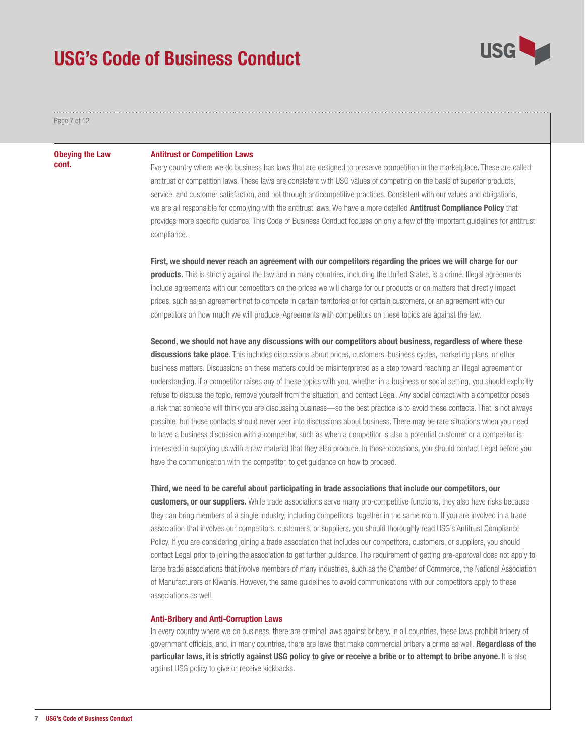

Page 7 of 12

#### Obeying the Law cont.

#### Antitrust or Competition Laws

Every country where we do business has laws that are designed to preserve competition in the marketplace. These are called antitrust or competition laws. These laws are consistent with USG values of competing on the basis of superior products, service, and customer satisfaction, and not through anticompetitive practices. Consistent with our values and obligations, we are all responsible for complying with the antitrust laws. We have a more detailed **Antitrust Compliance Policy** that provides more specific guidance. This Code of Business Conduct focuses on only a few of the important guidelines for antitrust compliance.

First, we should never reach an agreement with our competitors regarding the prices we will charge for our **products.** This is strictly against the law and in many countries, including the United States, is a crime. Illegal agreements include agreements with our competitors on the prices we will charge for our products or on matters that directly impact prices, such as an agreement not to compete in certain territories or for certain customers, or an agreement with our competitors on how much we will produce. Agreements with competitors on these topics are against the law.

Second, we should not have any discussions with our competitors about business, regardless of where these discussions take place. This includes discussions about prices, customers, business cycles, marketing plans, or other business matters. Discussions on these matters could be misinterpreted as a step toward reaching an illegal agreement or understanding. If a competitor raises any of these topics with you, whether in a business or social setting, you should explicitly refuse to discuss the topic, remove yourself from the situation, and contact Legal. Any social contact with a competitor poses a risk that someone will think you are discussing business—so the best practice is to avoid these contacts. That is not always possible, but those contacts should never veer into discussions about business. There may be rare situations when you need to have a business discussion with a competitor, such as when a competitor is also a potential customer or a competitor is interested in supplying us with a raw material that they also produce. In those occasions, you should contact Legal before you have the communication with the competitor, to get guidance on how to proceed.

### Third, we need to be careful about participating in trade associations that include our competitors, our

customers, or our suppliers. While trade associations serve many pro-competitive functions, they also have risks because they can bring members of a single industry, including competitors, together in the same room. If you are involved in a trade association that involves our competitors, customers, or suppliers, you should thoroughly read USG's Antitrust Compliance Policy. If you are considering joining a trade association that includes our competitors, customers, or suppliers, you should contact Legal prior to joining the association to get further guidance. The requirement of getting pre-approval does not apply to large trade associations that involve members of many industries, such as the Chamber of Commerce, the National Association of Manufacturers or Kiwanis. However, the same guidelines to avoid communications with our competitors apply to these associations as well.

#### Anti-Bribery and Anti-Corruption Laws

In every country where we do business, there are criminal laws against bribery. In all countries, these laws prohibit bribery of government officials, and, in many countries, there are laws that make commercial bribery a crime as well. Regardless of the particular laws, it is strictly against USG policy to give or receive a bribe or to attempt to bribe anyone. It is also against USG policy to give or receive kickbacks.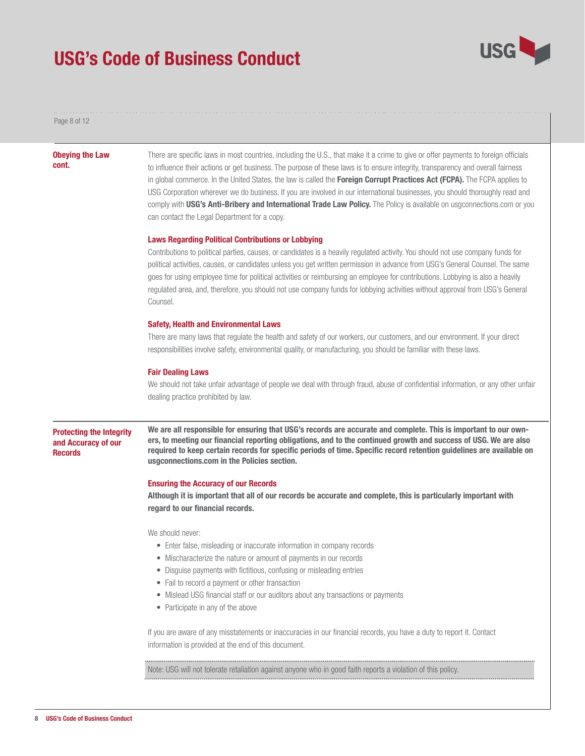

Page 8 of 12

#### Obeying the Law cont.

There are specific laws in most countries, including the U.S., that make it a crime to give or offer payments to foreign officials to influence their actions or get business. The purpose of these laws is to ensure integrity, transparency and overall fairness in global commerce. In the United States, the law is called the Foreign Corrupt Practices Act (FCPA). The FCPA applies to USG Corporation wherever we do business. If you are involved in our international businesses, you should thoroughly read and comply with USG's Anti-Bribery and International Trade Law Policy. The Policy is available on usgconnections.com or you can contact the Legal Department for a copy.

#### Laws Regarding Political Contributions or Lobbying

Contributions to political parties, causes, or candidates is a heavily regulated activity. You should not use company funds for political activities, causes, or candidates unless you get written permission in advance from USG's General Counsel. The same goes for using employee time for political activities or reimbursing an employee for contributions. Lobbying is also a heavily regulated area, and, therefore, you should not use company funds for lobbying activities without approval from USG's General Counsel.

#### Safety, Health and Environmental Laws

There are many laws that regulate the health and safety of our workers, our customers, and our environment. If your direct responsibilities involve safety, environmental quality, or manufacturing, you should be familiar with these laws.

#### Fair Dealing Laws

We should not take unfair advantage of people we deal with through fraud, abuse of confidential information, or any other unfair dealing practice prohibited by law.

#### Protecting the Integrity and Accuracy of our **Records**

We are all responsible for ensuring that USG's records are accurate and complete. This is important to our owners, to meeting our financial reporting obligations, and to the continued growth and success of USG. We are also required to keep certain records for specific periods of time. Specific record retention guidelines are available on usgconnections.com in the Policies section.

#### Ensuring the Accuracy of our Records

Although it is important that all of our records be accurate and complete, this is particularly important with regard to our financial records.

We should never:

- Enter false, misleading or inaccurate information in company records
- Mischaracterize the nature or amount of payments in our records
- Disguise payments with fictitious, confusing or misleading entries
- Fail to record a payment or other transaction
- Mislead USG financial staff or our auditors about any transactions or payments
- Participate in any of the above

If you are aware of any misstatements or inaccuracies in our financial records, you have a duty to report it. Contact information is provided at the end of this document.

Note: USG will not tolerate retaliation against anyone who in good faith reports a violation of this policy.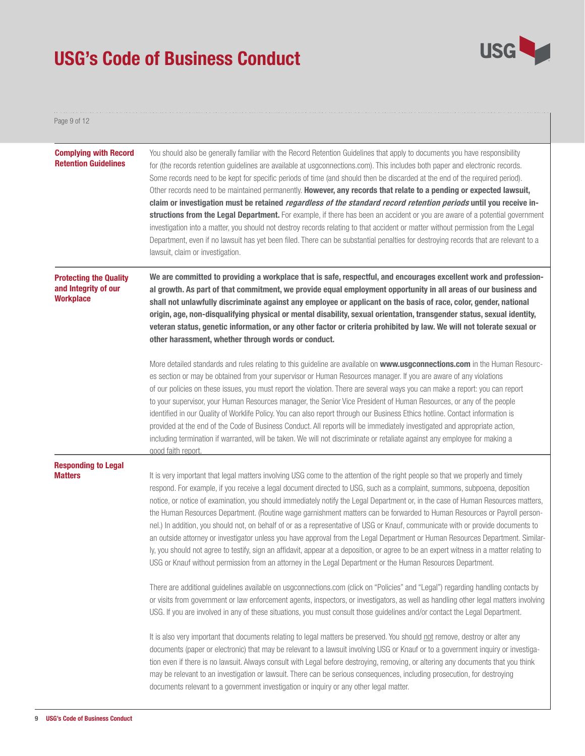

#### Page 9 of 12

| <b>Complying with Record</b><br><b>Retention Guidelines</b>               | You should also be generally familiar with the Record Retention Guidelines that apply to documents you have responsibility<br>for (the records retention guidelines are available at usgconnections.com). This includes both paper and electronic records.<br>Some records need to be kept for specific periods of time (and should then be discarded at the end of the required period).<br>Other records need to be maintained permanently. However, any records that relate to a pending or expected lawsuit,<br>claim or investigation must be retained <i>regardless of the standard record retention periods</i> until you receive in-<br>structions from the Legal Department. For example, if there has been an accident or you are aware of a potential government<br>investigation into a matter, you should not destroy records relating to that accident or matter without permission from the Legal<br>Department, even if no lawsuit has yet been filed. There can be substantial penalties for destroying records that are relevant to a<br>lawsuit, claim or investigation. |  |
|---------------------------------------------------------------------------|---------------------------------------------------------------------------------------------------------------------------------------------------------------------------------------------------------------------------------------------------------------------------------------------------------------------------------------------------------------------------------------------------------------------------------------------------------------------------------------------------------------------------------------------------------------------------------------------------------------------------------------------------------------------------------------------------------------------------------------------------------------------------------------------------------------------------------------------------------------------------------------------------------------------------------------------------------------------------------------------------------------------------------------------------------------------------------------------|--|
| <b>Protecting the Quality</b><br>and Integrity of our<br><b>Workplace</b> | We are committed to providing a workplace that is safe, respectful, and encourages excellent work and profession-<br>al growth. As part of that commitment, we provide equal employment opportunity in all areas of our business and<br>shall not unlawfully discriminate against any employee or applicant on the basis of race, color, gender, national<br>origin, age, non-disqualifying physical or mental disability, sexual orientation, transgender status, sexual identity,<br>veteran status, genetic information, or any other factor or criteria prohibited by law. We will not tolerate sexual or<br>other harassment, whether through words or conduct.                                                                                                                                                                                                                                                                                                                                                                                                                        |  |
|                                                                           | More detailed standards and rules relating to this guideline are available on www.usgconnections.com in the Human Resourc-<br>es section or may be obtained from your supervisor or Human Resources manager. If you are aware of any violations<br>of our policies on these issues, you must report the violation. There are several ways you can make a report: you can report<br>to your supervisor, your Human Resources manager, the Senior Vice President of Human Resources, or any of the people<br>identified in our Quality of Worklife Policy. You can also report through our Business Ethics hotline. Contact information is<br>provided at the end of the Code of Business Conduct. All reports will be immediately investigated and appropriate action,<br>including termination if warranted, will be taken. We will not discriminate or retaliate against any employee for making a<br>good faith report                                                                                                                                                                    |  |
| <b>Responding to Legal</b><br><b>Matters</b>                              | It is very important that legal matters involving USG come to the attention of the right people so that we properly and timely<br>respond. For example, if you receive a legal document directed to USG, such as a complaint, summons, subpoena, deposition<br>notice, or notice of examination, you should immediately notify the Legal Department or, in the case of Human Resources matters,<br>the Human Resources Department. (Routine wage garnishment matters can be forwarded to Human Resources or Payroll person-<br>nel.) In addition, you should not, on behalf of or as a representative of USG or Knauf, communicate with or provide documents to<br>an outside attorney or investigator unless you have approval from the Legal Department or Human Resources Department. Similar-<br>ly, you should not agree to testify, sign an affidavit, appear at a deposition, or agree to be an expert witness in a matter relating to<br>USG or Knauf without permission from an attorney in the Legal Department or the Human Resources Department.                                |  |
|                                                                           | There are additional guidelines available on usgconnections.com (click on "Policies" and "Legal") regarding handling contacts by<br>or visits from government or law enforcement agents, inspectors, or investigators, as well as handling other legal matters involving<br>USG. If you are involved in any of these situations, you must consult those guidelines and/or contact the Legal Department.                                                                                                                                                                                                                                                                                                                                                                                                                                                                                                                                                                                                                                                                                     |  |
|                                                                           | It is also very important that documents relating to legal matters be preserved. You should not remove, destroy or alter any<br>documents (paper or electronic) that may be relevant to a lawsuit involving USG or Knauf or to a government inquiry or investiga-<br>tion even if there is no lawsuit. Always consult with Legal before destroying, removing, or altering any documents that you think<br>may be relevant to an investigation or lawsuit. There can be serious consequences, including prosecution, for destroying<br>documents relevant to a government investigation or inquiry or any other legal matter.                                                                                                                                                                                                                                                                                                                                                                                                                                                                |  |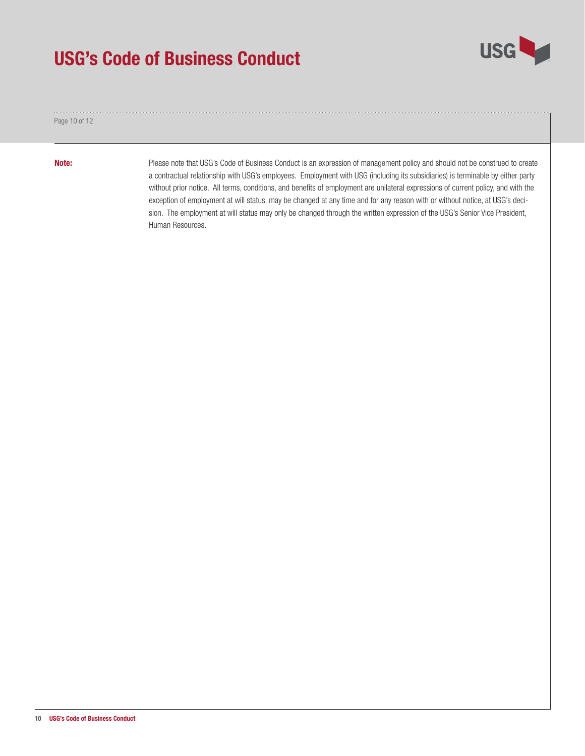

Page 10 of 12

Note:

Please note that USG's Code of Business Conduct is an expression of management policy and should not be construed to create a contractual relationship with USG's employees. Employment with USG (including its subsidiaries) is terminable by either party without prior notice. All terms, conditions, and benefits of employment are unilateral expressions of current policy, and with the exception of employment at will status, may be changed at any time and for any reason with or without notice, at USG's decision. The employment at will status may only be changed through the written expression of the USG's Senior Vice President, Human Resources.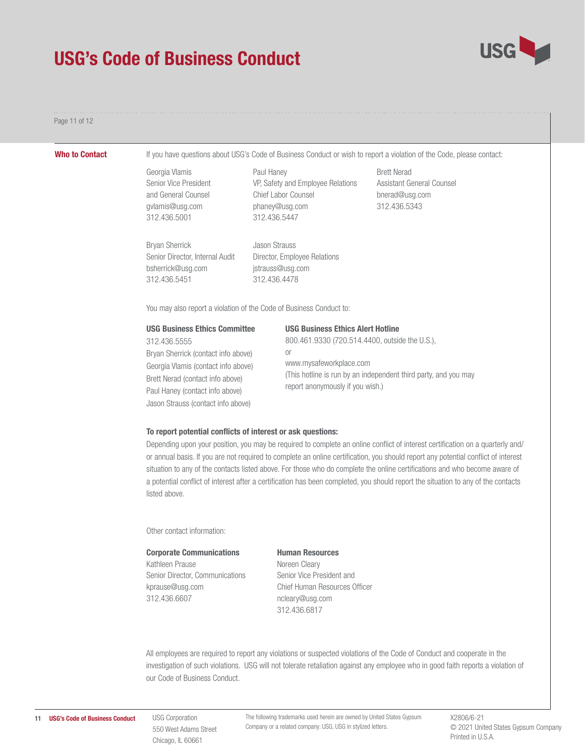

#### Page 11 of 12

Who to Contact If you have questions about USG's Code of Business Conduct or wish to report a violation of the Code, please contact:

Georgia Vlamis Senior Vice President and General Counsel gvlamis@usg.com 312.436.5001

Paul Haney VP, Safety and Employee Relations Chief Labor Counsel phaney@usg.com 312.436.5447

Bryan Sherrick Senior Director, Internal Audit bsherrick@usg.com 312.436.5451

Jason Strauss Director, Employee Relations jstrauss@usg.com 312.436.4478

Brett Nerad Assistant General Counsel bnerad@usg.com 312.436.5343

You may also report a violation of the Code of Business Conduct to:

| <b>USG Business Ethics Committee</b> | <b>USG Business Ethics Alert Hotline</b>                                                            |
|--------------------------------------|-----------------------------------------------------------------------------------------------------|
| 312.436,5555                         | 800.461.9330 (720.514.4400, outside the U.S.),                                                      |
| Bryan Sherrick (contact info above)  | or                                                                                                  |
| Georgia Vlamis (contact info above)  | www.mysafeworkplace.com                                                                             |
| Brett Nerad (contact info above)     | (This hotline is run by an independent third party, and you may<br>report anonymously if you wish.) |
| Paul Haney (contact info above)      |                                                                                                     |
| Jason Strauss (contact info above)   |                                                                                                     |

#### To report potential conflicts of interest or ask questions:

Depending upon your position, you may be required to complete an online conflict of interest certification on a quarterly and/ or annual basis. If you are not required to complete an online certification, you should report any potential conflict of interest situation to any of the contacts listed above. For those who do complete the online certifications and who become aware of a potential conflict of interest after a certification has been completed, you should report the situation to any of the contacts listed above.

Other contact information:

#### Corporate Communications

Kathleen Prause Senior Director, Communications kprause@usg.com 312.436.6607

Human Resources Noreen Cleary Senior Vice President and Chief Human Resources Officer ncleary@usg.com 312.436.6817

All employees are required to report any violations or suspected violations of the Code of Conduct and cooperate in the investigation of such violations. USG will not tolerate retaliation against any employee who in good faith reports a violation of our Code of Business Conduct.

USG Corporation 550 West Adams Street Chicago, IL 60661

The following trademarks used herein are owned by United States Gypsum Company or a related company: USG, USG in stylized letters.

X2806/6-21 © 2021 United States Gypsum Company Printed in U.S.A.